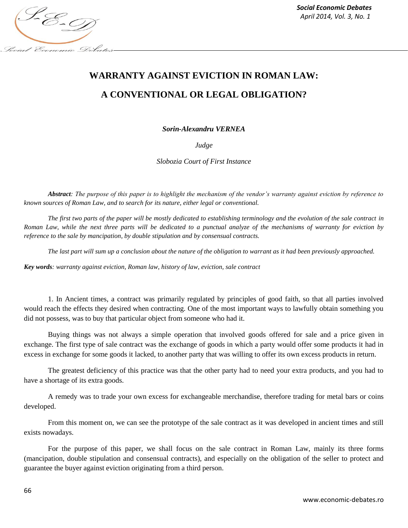

*Social Economic Debates*

## **WARRANTY AGAINST EVICTION IN ROMAN LAW: A CONVENTIONAL OR LEGAL OBLIGATION?**

*Sorin-Alexandru VERNEA*

*Judge*

*Slobozia Court of First Instance*

*Abstract: The purpose of this paper is to highlight the mechanism of the vendor's warranty against eviction by reference to known sources of Roman Law, and to search for its nature, either legal or conventional.* 

*The first two parts of the paper will be mostly dedicated to establishing terminology and the evolution of the sale contract in Roman Law, while the next three parts will be dedicated to a punctual analyze of the mechanisms of warranty for eviction by reference to the sale by mancipation, by double stipulation and by consensual contracts.*

*The last part will sum up a conclusion about the nature of the obligation to warrant as it had been previously approached.*

*Key words: warranty against eviction, Roman law, history of law, eviction, sale contract*

1. In Ancient times, a contract was primarily regulated by principles of good faith, so that all parties involved would reach the effects they desired when contracting. One of the most important ways to lawfully obtain something you did not possess, was to buy that particular object from someone who had it.

Buying things was not always a simple operation that involved goods offered for sale and a price given in exchange. The first type of sale contract was the exchange of goods in which a party would offer some products it had in excess in exchange for some goods it lacked, to another party that was willing to offer its own excess products in return.

The greatest deficiency of this practice was that the other party had to need your extra products, and you had to have a shortage of its extra goods.

A remedy was to trade your own excess for exchangeable merchandise, therefore trading for metal bars or coins developed.

From this moment on, we can see the prototype of the sale contract as it was developed in ancient times and still exists nowadays.

For the purpose of this paper, we shall focus on the sale contract in Roman Law, mainly its three forms (mancipation, double stipulation and consensual contracts), and especially on the obligation of the seller to protect and guarantee the buyer against eviction originating from a third person.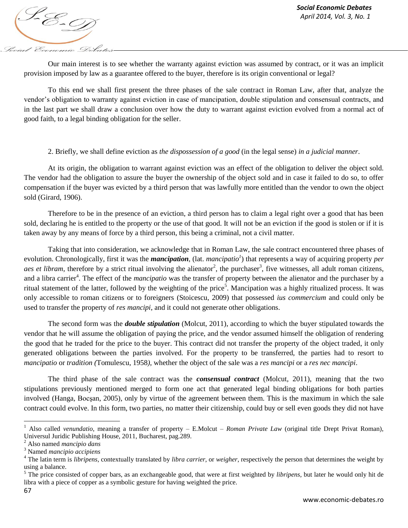*April 2014, Vol. 3, No. 1*<br> *April 2014, Vol. 3, No. 1* Social Economic Debates

Our main interest is to see whether the warranty against eviction was assumed by contract, or it was an implicit provision imposed by law as a guarantee offered to the buyer, therefore is its origin conventional or legal?

To this end we shall first present the three phases of the sale contract in Roman Law, after that, analyze the vendor's obligation to warranty against eviction in case of mancipation, double stipulation and consensual contracts, and in the last part we shall draw a conclusion over how the duty to warrant against eviction evolved from a normal act of good faith, to a legal binding obligation for the seller.

## 2. Briefly, we shall define eviction as *the dispossession of a good* (in the legal sense) *in a judicial manner*.

At its origin, the obligation to warrant against eviction was an effect of the obligation to deliver the object sold. The vendor had the obligation to assure the buyer the ownership of the object sold and in case it failed to do so, to offer compensation if the buyer was evicted by a third person that was lawfully more entitled than the vendor to own the object sold (Girard, 1906).

Therefore to be in the presence of an eviction, a third person has to claim a legal right over a good that has been sold, declaring he is entitled to the property or the use of that good. It will not be an eviction if the good is stolen or if it is taken away by any means of force by a third person, this being a criminal, not a civil matter.

Taking that into consideration, we acknowledge that in Roman Law, the sale contract encountered three phases of evolution. Chronologically, first it was the *mancipation*, (lat. *mancipatio<sup>1</sup>* ) that represents a way of acquiring property *per aes et libram*, therefore by a strict ritual involving the alienator<sup>2</sup>, the purchaser<sup>3</sup>, five witnesses, all adult roman citizens, and a libra carrier<sup>4</sup>. The effect of the *mancipatio* was the transfer of property between the alienator and the purchaser by a ritual statement of the latter, followed by the weighting of the price<sup>5</sup>. Mancipation was a highly ritualized process. It was only accessible to roman citizens or to foreigners (Stoicescu, 2009) that possessed *ius commercium* and could only be used to transfer the property of *res mancipi*, and it could not generate other obligations.

The second form was the *double stipulation* (Molcut, 2011), according to which the buyer stipulated towards the vendor that he will assume the obligation of paying the price, and the vendor assumed himself the obligation of rendering the good that he traded for the price to the buyer. This contract did not transfer the property of the object traded, it only generated obligations between the parties involved. For the property to be transferred, the parties had to resort to *mancipatio* or *tradition (*Tomulescu, 1958*)*, whether the object of the sale was a *res mancipi* or a *res nec mancipi*.

The third phase of the sale contract was the *consensual contract* (Molcut, 2011), meaning that the two stipulations previously mentioned merged to form one act that generated legal binding obligations for both parties involved (Hanga, Bocşan, 2005), only by virtue of the agreement between them. This is the maximum in which the sale contract could evolve. In this form, two parties, no matter their citizenship, could buy or sell even goods they did not have

 $\overline{\phantom{a}}$ 

<sup>1</sup> Also called *venundatio*, meaning a transfer of property – E.Molcut – *Roman Private Law* (original title Drept Privat Roman), Universul Juridic Publishing House, 2011, Bucharest, pag.289.

<sup>2</sup> Also named *mancipio dans*

<sup>3</sup> Named *mancipio accipiens*

<sup>&</sup>lt;sup>4</sup> The latin term is *libripens*, contextually translated by *libra carrier*, or *weigher*, respectively the person that determines the weight by using a balance.

<sup>&</sup>lt;sup>5</sup> The price consisted of copper bars, as an exchangeable good, that were at first weighted by *libripens*, but later he would only hit de libra with a piece of copper as a symbolic gesture for having weighted the price.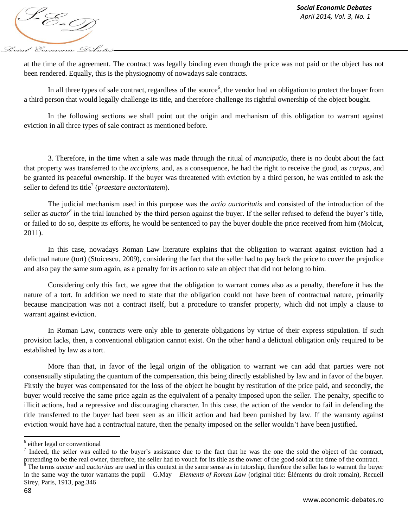*April 2014, Vol. 3, No. 1*<br>*April 2014, Vol. 3, No. 1* Social Economic Debates

at the time of the agreement. The contract was legally binding even though the price was not paid or the object has not been rendered. Equally, this is the physiognomy of nowadays sale contracts.

In all three types of sale contract, regardless of the source<sup>6</sup>, the vendor had an obligation to protect the buyer from a third person that would legally challenge its title, and therefore challenge its rightful ownership of the object bought.

In the following sections we shall point out the origin and mechanism of this obligation to warrant against eviction in all three types of sale contract as mentioned before.

3. Therefore, in the time when a sale was made through the ritual of *mancipatio*, there is no doubt about the fact that property was transferred to the *accipiens,* and, as a consequence, he had the right to receive the good, as *corpus,* and be granted its peaceful ownership. If the buyer was threatened with eviction by a third person, he was entitled to ask the seller to defend its title<sup>7</sup> (*praestare auctoritatem*).

The judicial mechanism used in this purpose was the *actio auctoritatis* and consisted of the introduction of the seller as *auctor*<sup>8</sup> in the trial launched by the third person against the buyer. If the seller refused to defend the buyer's title, or failed to do so, despite its efforts, he would be sentenced to pay the buyer double the price received from him (Molcut, 2011).

In this case, nowadays Roman Law literature explains that the obligation to warrant against eviction had a delictual nature (tort) (Stoicescu, 2009), considering the fact that the seller had to pay back the price to cover the prejudice and also pay the same sum again, as a penalty for its action to sale an object that did not belong to him.

Considering only this fact, we agree that the obligation to warrant comes also as a penalty, therefore it has the nature of a tort. In addition we need to state that the obligation could not have been of contractual nature, primarily because mancipation was not a contract itself, but a procedure to transfer property, which did not imply a clause to warrant against eviction.

In Roman Law, contracts were only able to generate obligations by virtue of their express stipulation. If such provision lacks, then, a conventional obligation cannot exist. On the other hand a delictual obligation only required to be established by law as a tort.

More than that, in favor of the legal origin of the obligation to warrant we can add that parties were not consensually stipulating the quantum of the compensation, this being directly established by law and in favor of the buyer. Firstly the buyer was compensated for the loss of the object he bought by restitution of the price paid, and secondly, the buyer would receive the same price again as the equivalent of a penalty imposed upon the seller. The penalty, specific to illicit actions, had a repressive and discouraging character. In this case, the action of the vendor to fail in defending the title transferred to the buyer had been seen as an illicit action and had been punished by law. If the warranty against eviction would have had a contractual nature, then the penalty imposed on the seller wouldn't have been justified.

 $6$  either legal or conventional

<sup>7</sup> Indeed, the seller was called to the buyer's assistance due to the fact that he was the one the sold the object of the contract, pretending to be the real owner, therefore, the seller had to vouch for its title as the owner of the good sold at the time of the contract.

<sup>&</sup>lt;sup>8</sup> The terms *auctor* and *auctoritas* are used in this context in the same sense as in tutorship, therefore the seller has to warrant the buyer in the same way the tutor warrants the pupil – G.May – *Elements of Roman Law* (original title: Éléments du droit romain), Recueil Sirey, Paris, 1913, pag.346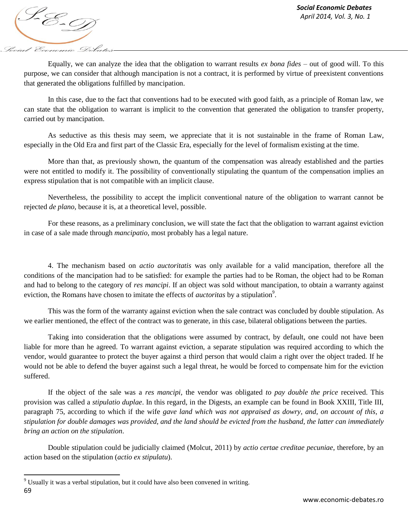*April 2014, Vol. 3, No. 1*<br>*April 2014, Vol. 3, No. 1* Social Economic Debates

Equally, we can analyze the idea that the obligation to warrant results *ex bona fides* – out of good will. To this purpose, we can consider that although mancipation is not a contract, it is performed by virtue of preexistent conventions that generated the obligations fulfilled by mancipation.

In this case, due to the fact that conventions had to be executed with good faith, as a principle of Roman law, we can state that the obligation to warrant is implicit to the convention that generated the obligation to transfer property, carried out by mancipation.

As seductive as this thesis may seem, we appreciate that it is not sustainable in the frame of Roman Law, especially in the Old Era and first part of the Classic Era, especially for the level of formalism existing at the time.

More than that, as previously shown, the quantum of the compensation was already established and the parties were not entitled to modify it. The possibility of conventionally stipulating the quantum of the compensation implies an express stipulation that is not compatible with an implicit clause.

Nevertheless, the possibility to accept the implicit conventional nature of the obligation to warrant cannot be rejected *de plano*, because it is, at a theoretical level, possible.

For these reasons, as a preliminary conclusion, we will state the fact that the obligation to warrant against eviction in case of a sale made through *mancipatio*, most probably has a legal nature.

4. The mechanism based on *actio auctoritatis* was only available for a valid mancipation, therefore all the conditions of the mancipation had to be satisfied: for example the parties had to be Roman, the object had to be Roman and had to belong to the category of *res mancipi*. If an object was sold without mancipation, to obtain a warranty against eviction, the Romans have chosen to imitate the effects of *auctoritas* by a stipulation<sup>9</sup>.

This was the form of the warranty against eviction when the sale contract was concluded by double stipulation. As we earlier mentioned, the effect of the contract was to generate, in this case, bilateral obligations between the parties.

Taking into consideration that the obligations were assumed by contract, by default, one could not have been liable for more than he agreed. To warrant against eviction, a separate stipulation was required according to which the vendor, would guarantee to protect the buyer against a third person that would claim a right over the object traded. If he would not be able to defend the buyer against such a legal threat, he would be forced to compensate him for the eviction suffered.

If the object of the sale was a *res mancipi*, the vendor was obligated *to pay double the price* received. This provision was called a *stipulatio duplae*. In this regard, in the Digests, an example can be found in Book XXIII, Title III, paragraph 75, according to which if the wife *gave land which was not appraised as dowry, and, on account of this, a stipulation for double damages was provided, and the land should be evicted from the husband, the latter can immediately bring an action on the stipulation*.

Double stipulation could be judicially claimed (Molcut, 2011) by *actio certae creditae pecuniae*, therefore, by an action based on the stipulation (*actio ex stipulatu*).

 $\overline{\phantom{a}}$ 

<sup>69</sup>  $9$  Usually it was a verbal stipulation, but it could have also been convened in writing.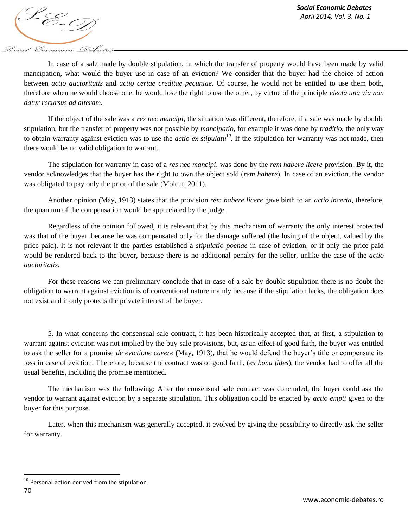

In case of a sale made by double stipulation, in which the transfer of property would have been made by valid mancipation, what would the buyer use in case of an eviction? We consider that the buyer had the choice of action between *actio auctoritatis* and *actio certae creditae pecuniae*. Of course, he would not be entitled to use them both, therefore when he would choose one, he would lose the right to use the other, by virtue of the principle *electa una via non datur recursus ad alteram*.

If the object of the sale was a *res nec mancipi*, the situation was different, therefore, if a sale was made by double stipulation, but the transfer of property was not possible by *mancipatio*, for example it was done by *traditio,* the only way to obtain warranty against eviction was to use the *actio ex stipulatu<sup>10</sup> .* If the stipulation for warranty was not made, then there would be no valid obligation to warrant.

The stipulation for warranty in case of a *res nec mancipi*, was done by the *rem habere licere* provision. By it, the vendor acknowledges that the buyer has the right to own the object sold (*rem habere*). In case of an eviction, the vendor was obligated to pay only the price of the sale (Molcut, 2011).

Another opinion (May, 1913) states that the provision *rem habere licere* gave birth to an *actio incerta*, therefore, the quantum of the compensation would be appreciated by the judge.

Regardless of the opinion followed, it is relevant that by this mechanism of warranty the only interest protected was that of the buyer, because he was compensated only for the damage suffered (the losing of the object, valued by the price paid). It is not relevant if the parties established a *stipulatio poenae* in case of eviction, or if only the price paid would be rendered back to the buyer, because there is no additional penalty for the seller, unlike the case of the *actio auctoritatis*.

For these reasons we can preliminary conclude that in case of a sale by double stipulation there is no doubt the obligation to warrant against eviction is of conventional nature mainly because if the stipulation lacks, the obligation does not exist and it only protects the private interest of the buyer.

5. In what concerns the consensual sale contract, it has been historically accepted that, at first, a stipulation to warrant against eviction was not implied by the buy-sale provisions, but, as an effect of good faith, the buyer was entitled to ask the seller for a promise *de evictione cavere* (May, 1913), that he would defend the buyer's title or compensate its loss in case of eviction. Therefore, because the contract was of good faith, (*ex bona fides*), the vendor had to offer all the usual benefits, including the promise mentioned.

The mechanism was the following: After the consensual sale contract was concluded, the buyer could ask the vendor to warrant against eviction by a separate stipulation. This obligation could be enacted by *actio empti* given to the buyer for this purpose.

Later, when this mechanism was generally accepted, it evolved by giving the possibility to directly ask the seller for warranty.

 $\overline{\phantom{a}}$ 

 $10$  Personal action derived from the stipulation.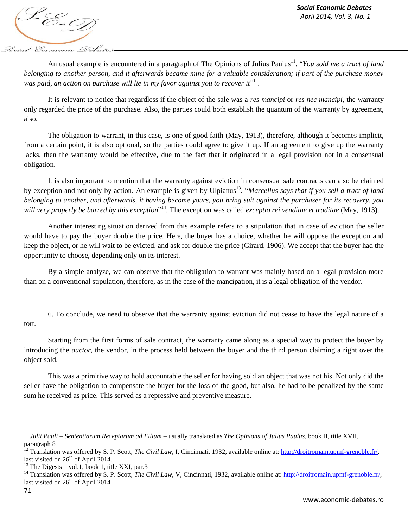*April 2014, Vol. 3, No. 1*<br> *April 2014, Vol. 3, No. 1* boiat Economic Debati

An usual example is encountered in a paragraph of The Opinions of Julius Paulus<sup>11</sup>. "You sold me a tract of land *belonging to another person, and it afterwards became mine for a valuable consideration; if part of the purchase money*  was paid, an action on purchase will lie in my favor against you to recover it"<sup>12</sup>.

It is relevant to notice that regardless if the object of the sale was a *res mancipi* or *res nec mancipi*, the warranty only regarded the price of the purchase. Also, the parties could both establish the quantum of the warranty by agreement, also.

The obligation to warrant, in this case, is one of good faith (May, 1913), therefore, although it becomes implicit, from a certain point, it is also optional, so the parties could agree to give it up. If an agreement to give up the warranty lacks, then the warranty would be effective, due to the fact that it originated in a legal provision not in a consensual obligation.

It is also important to mention that the warranty against eviction in consensual sale contracts can also be claimed by exception and not only by action. An example is given by Ulpianus<sup>13</sup>, "*Marcellus says that if you sell a tract of land belonging to another, and afterwards, it having become yours, you bring suit against the purchaser for its recovery, you*  will very properly be barred by this exception<sup>"14</sup>. The exception was called *exceptio rei venditae et traditae* (May, 1913).

Another interesting situation derived from this example refers to a stipulation that in case of eviction the seller would have to pay the buyer double the price. Here, the buyer has a choice, whether he will oppose the exception and keep the object, or he will wait to be evicted, and ask for double the price (Girard, 1906). We accept that the buyer had the opportunity to choose, depending only on its interest.

By a simple analyze, we can observe that the obligation to warrant was mainly based on a legal provision more than on a conventional stipulation, therefore, as in the case of the mancipation, it is a legal obligation of the vendor.

6. To conclude, we need to observe that the warranty against eviction did not cease to have the legal nature of a tort.

Starting from the first forms of sale contract, the warranty came along as a special way to protect the buyer by introducing the *auctor,* the vendor, in the process held between the buyer and the third person claiming a right over the object sold.

This was a primitive way to hold accountable the seller for having sold an object that was not his. Not only did the seller have the obligation to compensate the buyer for the loss of the good, but also, he had to be penalized by the same sum he received as price. This served as a repressive and preventive measure.

 $\overline{a}$ 

<sup>11</sup> *Julii Pauli – Sententiarum Receptarum ad Filium* – usually translated as *The Opinions of Julius Paulus*, book II, title XVII, paragraph 8

<sup>&</sup>lt;sup>12</sup> Translation was offered by S. P. Scott, *The Civil Law*, I, Cincinnati, 1932, available online at: [http://droitromain.upmf-grenoble.fr/,](http://droitromain.upmf-grenoble.fr/) last visited on  $26<sup>th</sup>$  of April 2014.

<sup>&</sup>lt;sup>13</sup> The Digests – vol.1, book 1, title XXI, par.3

<sup>&</sup>lt;sup>14</sup> Translation was offered by S. P. Scott, *The Civil Law*, V, Cincinnati, 1932, available online at: [http://droitromain.upmf-grenoble.fr/,](http://droitromain.upmf-grenoble.fr/) last visited on  $26<sup>th</sup>$  of April 2014